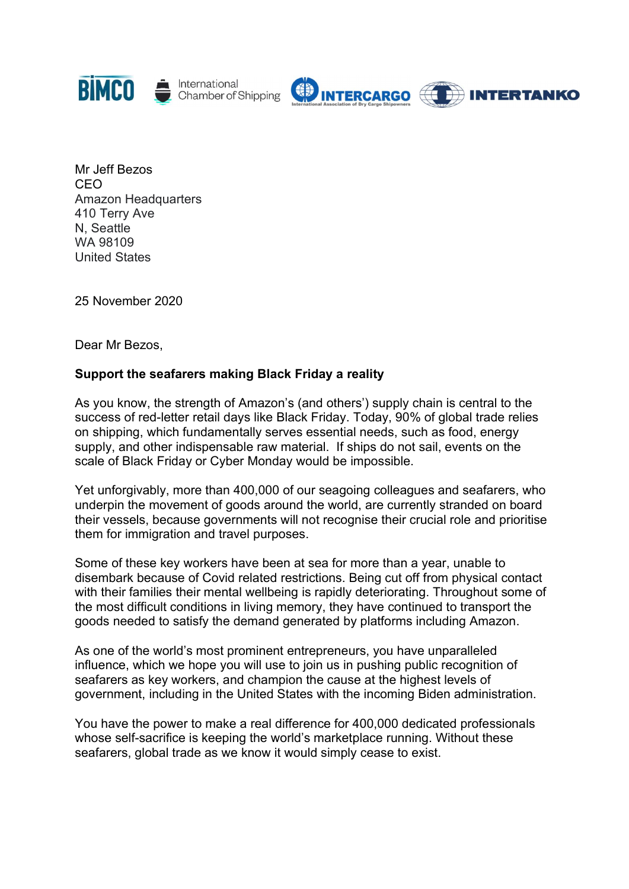



Mr Jeff Bezos CEO Amazon Headquarters 410 Terry Ave N, Seattle WA 98109 United States

25 November 2020

Dear Mr Bezos,

## Support the seafarers making Black Friday a reality

As you know, the strength of Amazon's (and others') supply chain is central to the success of red-letter retail days like Black Friday. Today, 90% of global trade relies on shipping, which fundamentally serves essential needs, such as food, energy supply, and other indispensable raw material. If ships do not sail, events on the scale of Black Friday or Cyber Monday would be impossible.

Yet unforgivably, more than 400,000 of our seagoing colleagues and seafarers, who underpin the movement of goods around the world, are currently stranded on board their vessels, because governments will not recognise their crucial role and prioritise them for immigration and travel purposes.

Some of these key workers have been at sea for more than a year, unable to disembark because of Covid related restrictions. Being cut off from physical contact with their families their mental wellbeing is rapidly deteriorating. Throughout some of the most difficult conditions in living memory, they have continued to transport the goods needed to satisfy the demand generated by platforms including Amazon.

As one of the world's most prominent entrepreneurs, you have unparalleled influence, which we hope you will use to join us in pushing public recognition of seafarers as key workers, and champion the cause at the highest levels of government, including in the United States with the incoming Biden administration.

You have the power to make a real difference for 400,000 dedicated professionals whose self-sacrifice is keeping the world's marketplace running. Without these seafarers, global trade as we know it would simply cease to exist.